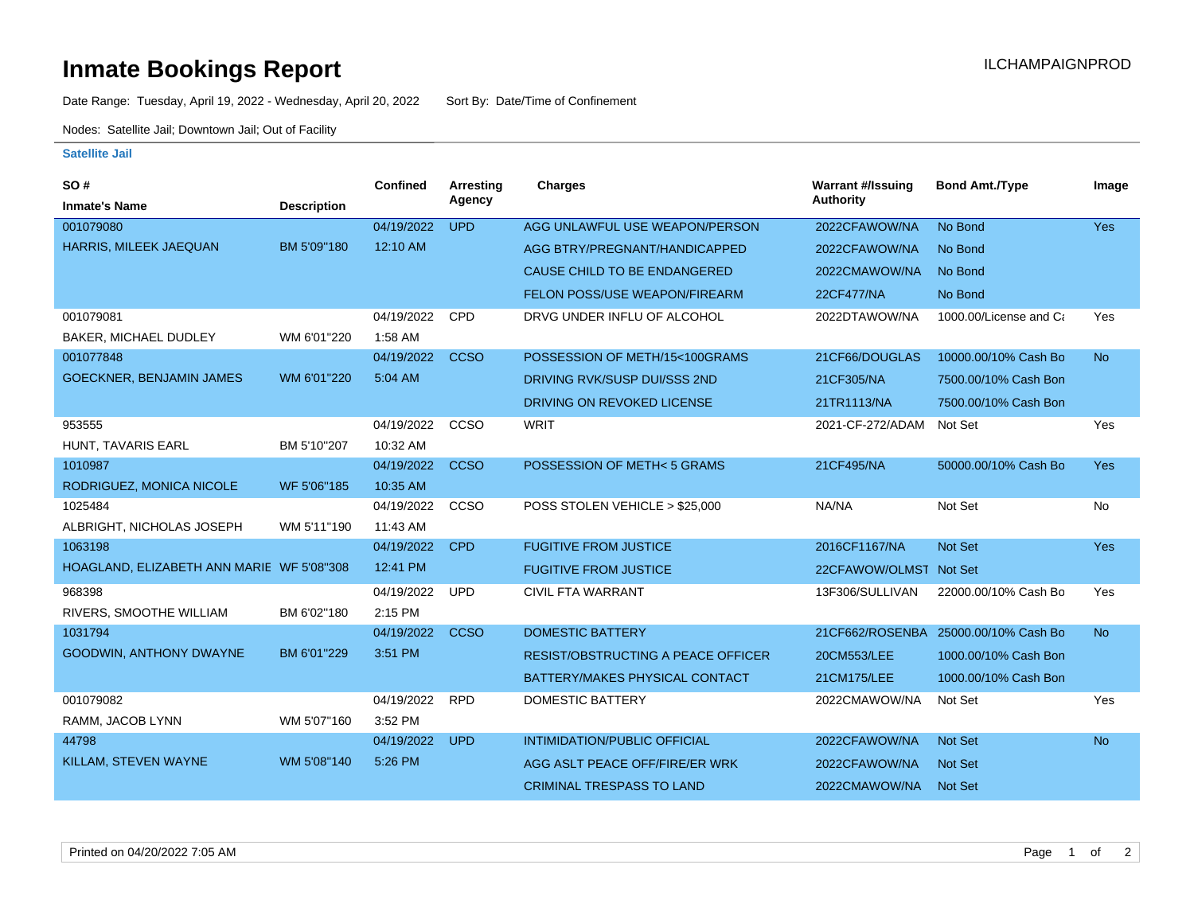## **Inmate Bookings Report Inmate Bookings Report**

Date Range: Tuesday, April 19, 2022 - Wednesday, April 20, 2022 Sort By: Date/Time of Confinement

Nodes: Satellite Jail; Downtown Jail; Out of Facility

## **Satellite Jail**

| SO#                                       |                    | Confined   | <b>Arresting</b> | <b>Charges</b>                            | <b>Warrant #/Issuing</b> | <b>Bond Amt./Type</b>  | Image     |
|-------------------------------------------|--------------------|------------|------------------|-------------------------------------------|--------------------------|------------------------|-----------|
| <b>Inmate's Name</b>                      | <b>Description</b> |            | Agency           |                                           | <b>Authority</b>         |                        |           |
| 001079080                                 |                    | 04/19/2022 | <b>UPD</b>       | AGG UNLAWFUL USE WEAPON/PERSON            | 2022CFAWOW/NA            | No Bond                | Yes       |
| <b>HARRIS, MILEEK JAEQUAN</b>             | BM 5'09"180        | 12:10 AM   |                  | AGG BTRY/PREGNANT/HANDICAPPED             | 2022CFAWOW/NA            | No Bond                |           |
|                                           |                    |            |                  | CAUSE CHILD TO BE ENDANGERED              | 2022CMAWOW/NA            | No Bond                |           |
|                                           |                    |            |                  | FELON POSS/USE WEAPON/FIREARM             | 22CF477/NA               | No Bond                |           |
| 001079081                                 |                    | 04/19/2022 | CPD              | DRVG UNDER INFLU OF ALCOHOL               | 2022DTAWOW/NA            | 1000.00/License and Ca | Yes       |
| BAKER, MICHAEL DUDLEY                     | WM 6'01"220        | 1:58 AM    |                  |                                           |                          |                        |           |
| 001077848                                 |                    | 04/19/2022 | <b>CCSO</b>      | POSSESSION OF METH/15<100GRAMS            | 21CF66/DOUGLAS           | 10000.00/10% Cash Bo   | <b>No</b> |
| <b>GOECKNER, BENJAMIN JAMES</b>           | WM 6'01"220        | 5:04 AM    |                  | DRIVING RVK/SUSP DUI/SSS 2ND              | 21CF305/NA               | 7500.00/10% Cash Bon   |           |
|                                           |                    |            |                  | DRIVING ON REVOKED LICENSE                | 21TR1113/NA              | 7500.00/10% Cash Bon   |           |
| 953555                                    |                    | 04/19/2022 | CCSO             | <b>WRIT</b>                               | 2021-CF-272/ADAM         | Not Set                | Yes       |
| HUNT, TAVARIS EARL                        | BM 5'10"207        | 10:32 AM   |                  |                                           |                          |                        |           |
| 1010987                                   |                    | 04/19/2022 | <b>CCSO</b>      | POSSESSION OF METH< 5 GRAMS               | 21CF495/NA               | 50000.00/10% Cash Bo   | Yes       |
| RODRIGUEZ, MONICA NICOLE                  | WF 5'06"185        | 10:35 AM   |                  |                                           |                          |                        |           |
| 1025484                                   |                    | 04/19/2022 | <b>CCSO</b>      | POSS STOLEN VEHICLE > \$25,000            | NA/NA                    | Not Set                | <b>No</b> |
| ALBRIGHT, NICHOLAS JOSEPH                 | WM 5'11"190        | 11:43 AM   |                  |                                           |                          |                        |           |
| 1063198                                   |                    | 04/19/2022 | <b>CPD</b>       | <b>FUGITIVE FROM JUSTICE</b>              | 2016CF1167/NA            | Not Set                | Yes       |
| HOAGLAND, ELIZABETH ANN MARIE WF 5'08"308 |                    | 12:41 PM   |                  | <b>FUGITIVE FROM JUSTICE</b>              | 22CFAWOW/OLMST Not Set   |                        |           |
| 968398                                    |                    | 04/19/2022 | <b>UPD</b>       | <b>CIVIL FTA WARRANT</b>                  | 13F306/SULLIVAN          | 22000.00/10% Cash Bo   | Yes       |
| RIVERS, SMOOTHE WILLIAM                   | BM 6'02"180        | 2:15 PM    |                  |                                           |                          |                        |           |
| 1031794                                   |                    | 04/19/2022 | <b>CCSO</b>      | <b>DOMESTIC BATTERY</b>                   | 21CF662/ROSENBA          | 25000.00/10% Cash Bo   | <b>No</b> |
| <b>GOODWIN, ANTHONY DWAYNE</b>            | BM 6'01"229        | 3:51 PM    |                  | <b>RESIST/OBSTRUCTING A PEACE OFFICER</b> | 20CM553/LEE              | 1000.00/10% Cash Bon   |           |
|                                           |                    |            |                  | BATTERY/MAKES PHYSICAL CONTACT            | 21CM175/LEE              | 1000.00/10% Cash Bon   |           |
| 001079082                                 |                    | 04/19/2022 | <b>RPD</b>       | <b>DOMESTIC BATTERY</b>                   | 2022CMAWOW/NA            | Not Set                | Yes       |
| RAMM, JACOB LYNN                          | WM 5'07"160        | 3:52 PM    |                  |                                           |                          |                        |           |
| 44798                                     |                    | 04/19/2022 | <b>UPD</b>       | <b>INTIMIDATION/PUBLIC OFFICIAL</b>       | 2022CFAWOW/NA            | Not Set                | <b>No</b> |
| KILLAM, STEVEN WAYNE                      | WM 5'08"140        | 5:26 PM    |                  | AGG ASLT PEACE OFF/FIRE/ER WRK            | 2022CFAWOW/NA            | <b>Not Set</b>         |           |
|                                           |                    |            |                  | <b>CRIMINAL TRESPASS TO LAND</b>          | 2022CMAWOW/NA            | Not Set                |           |